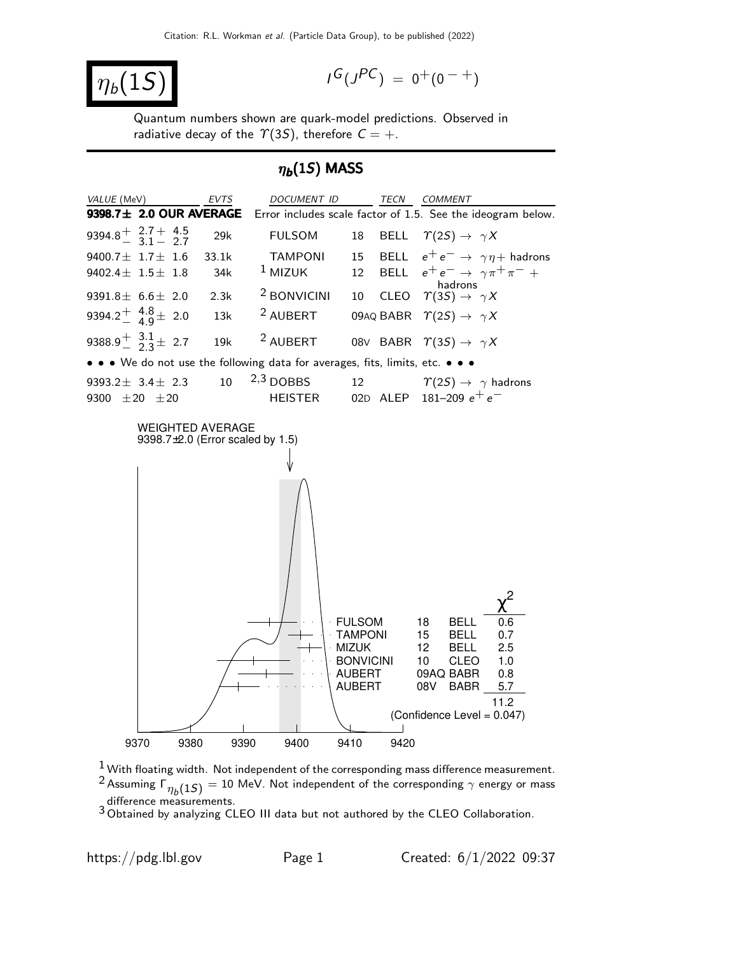$$
|\eta_b(1S)|
$$

$$
I^G(J^{PC})\ =\ 0^+(0^{\ -\ +})
$$

Quantum numbers shown are quark-model predictions. Observed in radiative decay of the  $\Upsilon(3S)$ , therefore  $C = +$ .

#### $\eta_b(1S)$  MASS



 $1$  With floating width. Not independent of the corresponding mass difference measurement.  $^2$ Assuming  $\mathsf{\Gamma}_{\eta_b(1S)}=10$  MeV. Not independent of the corresponding  $\gamma$  energy or mass difference measurements.

<sup>3</sup> Obtained by analyzing CLEO III data but not authored by the CLEO Collaboration.

https://pdg.lbl.gov Page 1 Created:  $6/1/2022$  09:37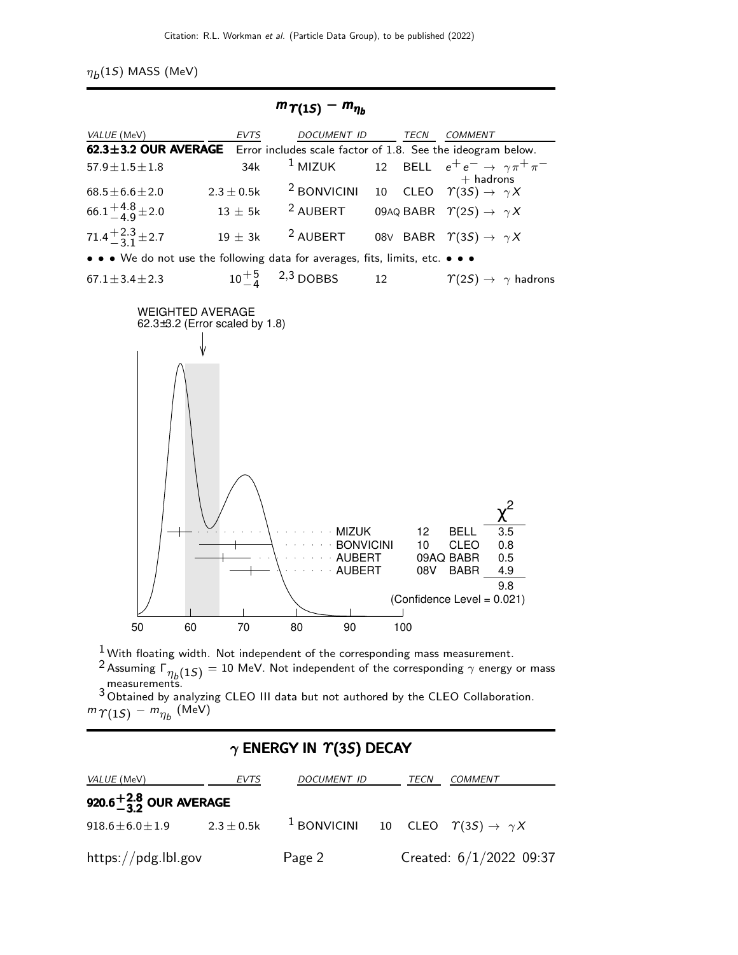$\eta_b(1S)$  MASS (MeV)

| $m_{\Upsilon(15)} - m_{\eta_b}$                                                  |               |                       |    |  |                                                                                   |  |
|----------------------------------------------------------------------------------|---------------|-----------------------|----|--|-----------------------------------------------------------------------------------|--|
| VALUE (MeV)                                                                      | EVTS          | DOCUMENT ID TECN      |    |  | COMMENT                                                                           |  |
| 62.3±3.2 OUR AVERAGE Error includes scale factor of 1.8. See the ideogram below. |               |                       |    |  |                                                                                   |  |
| $57.9 \pm 1.5 \pm 1.8$                                                           | 34k           |                       |    |  | <sup>1</sup> MIZUK 12 BELL $e^+e^- \rightarrow \gamma \pi^+ \pi^-$<br>$+$ hadrons |  |
| $68.5 \pm 6.6 \pm 2.0$                                                           | $2.3\pm0.5$ k | $2$ BONVICINI         |    |  | 10 CLEO $\Upsilon(3S) \rightarrow \gamma X$                                       |  |
| $66.1^{+4.8}_{-4.9}$ ± 2.0                                                       | $13 \pm 5$ k  | <sup>2</sup> AUBERT   |    |  | 09AQ BABR $\ \ \Upsilon(2S) \rightarrow \ \gamma X$                               |  |
| $71.4 + \frac{2.3}{3} \pm 2.7$                                                   | $19 \pm 3k$   | <sup>2</sup> AUBERT   |    |  | 08V BABR $\Upsilon(3S) \rightarrow \gamma X$                                      |  |
| • • • We do not use the following data for averages, fits, limits, etc. • • •    |               |                       |    |  |                                                                                   |  |
| $67.1 \pm 3.4 \pm 2.3$                                                           |               | $10^{+5}$ , 2,3 DOBBS | 12 |  | $\gamma(2S) \rightarrow \gamma$ hadrons                                           |  |



 $\frac{1}{2}$  With floating width. Not independent of the corresponding mass measurement.

 $^2$ Assuming  $\mathsf{\Gamma}_{\eta_b(1S)}=10$  MeV. Not independent of the corresponding  $\gamma$  energy or mass measurements.

3 Obtained by analyzing CLEO III data but not authored by the CLEO Collaboration.  $m\gamma_{(1S)} - m_{\eta_b}$  (MeV)

#### $\gamma$  ENERGY IN  $\Upsilon(3S)$  DECAY

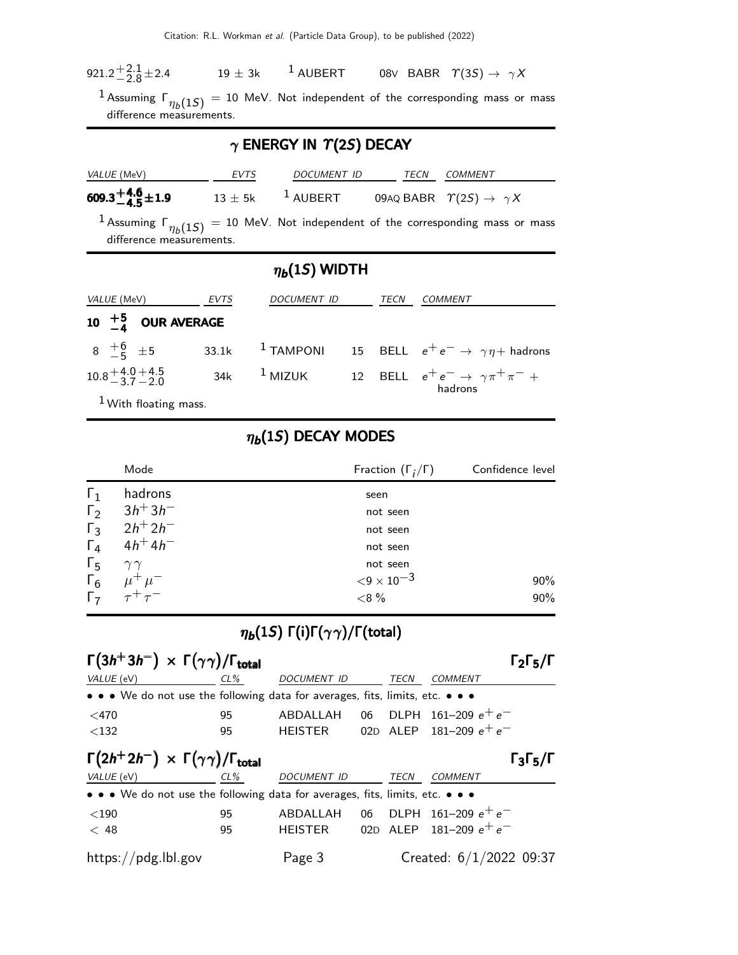| 921.2 <sup>+2.1</sup> ± 2.4<br>$19 \pm 3k$<br><sup>1</sup> AUBERT |  |  | 08V BABR $\Upsilon(3S) \rightarrow \gamma X$ |  |
|-------------------------------------------------------------------|--|--|----------------------------------------------|--|
|-------------------------------------------------------------------|--|--|----------------------------------------------|--|

 $^1$  Assuming  $\mathsf{\Gamma}_{\eta_b(1S)}=$  10 MeV. Not independent of the corresponding mass or mass difference measurements.

## $\gamma$  ENERGY IN  $\Upsilon(2S)$  DECAY

| VALUE (MeV)                | EVTS | DOCUMENT ID             | TECN | COMMENT                                             |
|----------------------------|------|-------------------------|------|-----------------------------------------------------|
| $609.3^{+4.6}_{-4.5}$ ±1.9 |      | $13 \pm 5$ k $1$ AUBERT |      | 09AQ BABR $\ \ \Upsilon(2S) \rightarrow \ \gamma X$ |

 $^1$  Assuming  $\mathsf{\Gamma}_{\eta_b(1S)}=$  10 MeV. Not independent of the corresponding mass or mass difference measurements.

## $\eta_b(1S)$  WIDTH

| <i>VALUE</i> (MeV)                 | EVTS | <b>DOCUMENT ID</b> | TECN | <i>COMMENT</i>                                                                               |
|------------------------------------|------|--------------------|------|----------------------------------------------------------------------------------------------|
| 10 $\frac{+5}{-4}$ OUR AVERAGE     |      |                    |      |                                                                                              |
|                                    |      |                    |      | $8 + 6 \t + 5$ 33.1k <sup>1</sup> TAMPONI 15 BELL $e^+e^- \rightarrow \gamma \eta +$ hadrons |
| $10.8 + 4.0 + 4.5$<br>$-3.7 - 2.0$ |      |                    |      | 34k <sup>1</sup> MIZUK 12 BELL $e^+e^- \rightarrow \gamma \pi^+ \pi^- +$<br>hadrons          |

1 With floating mass.

#### $\eta_b(1S)$  DECAY MODES

|            | Mode                                                                             | Fraction $(\Gamma_i/\Gamma)$ | Confidence level |
|------------|----------------------------------------------------------------------------------|------------------------------|------------------|
| $\Gamma_1$ | hadrons                                                                          | seen                         |                  |
| $\Gamma_2$ | $3h + 3h$                                                                        | not seen                     |                  |
| $\Gamma_3$ | $2h^{+}2h^{-}$                                                                   | not seen                     |                  |
| $\Gamma_4$ | $4h^{+}4h^{-}$                                                                   | not seen                     |                  |
| $\Gamma_5$ | $\gamma\gamma$                                                                   | not seen                     |                  |
|            |                                                                                  | ${<}9 \times 10^{-3}$        | 90%              |
|            | $\begin{matrix} \Gamma_6 & \mu^+ \mu^- \\ \Gamma_7 & \tau^+ \tau^- \end{matrix}$ | ${<}8%$                      | 90%              |

## $\eta_b(1S) \Gamma(i)\Gamma(\gamma\gamma)/\Gamma(\text{total})$

| $\Gamma(3h^+3h^-) \times \Gamma(\gamma\gamma)/\Gamma_{\text{total}}$<br>$\Gamma_2\Gamma_5/\Gamma$ |        |                    |    |             |                           |  |
|---------------------------------------------------------------------------------------------------|--------|--------------------|----|-------------|---------------------------|--|
| VALUE (eV)                                                                                        | $CL\%$ | <b>DOCUMENT ID</b> |    | <b>TECN</b> | <b>COMMENT</b>            |  |
| • • • We do not use the following data for averages, fits, limits, etc. • • •                     |        |                    |    |             |                           |  |
| $<$ 470                                                                                           | 95     | ABDALLAH           |    |             | 06 DLPH 161-209 $e^+e^-$  |  |
| $<$ 132                                                                                           | 95     | HEISTER            |    |             | 02D ALEP 181-209 $e^+e^-$ |  |
| $\Gamma(2h^+2h^-) \times \Gamma(\gamma\gamma)/\Gamma_{\text{total}}$<br>$\Gamma_3\Gamma_5/\Gamma$ |        |                    |    |             |                           |  |
| VALUE (eV)                                                                                        | CL%    | <b>DOCUMENT ID</b> |    | TECN        | <b>COMMENT</b>            |  |
| • • • We do not use the following data for averages, fits, limits, etc. • • •                     |        |                    |    |             |                           |  |
| $<$ 190                                                                                           | 95     | ABDALLAH           | 06 |             | DLPH $161-209e^+e^-$      |  |
| < 48                                                                                              | 95     | <b>HEISTER</b>     |    |             | 02D ALEP 181-209 $e^+e^-$ |  |
| https://pdg.lbl.gov                                                                               |        | Page 3             |    |             | Created: $6/1/2022$ 09:37 |  |